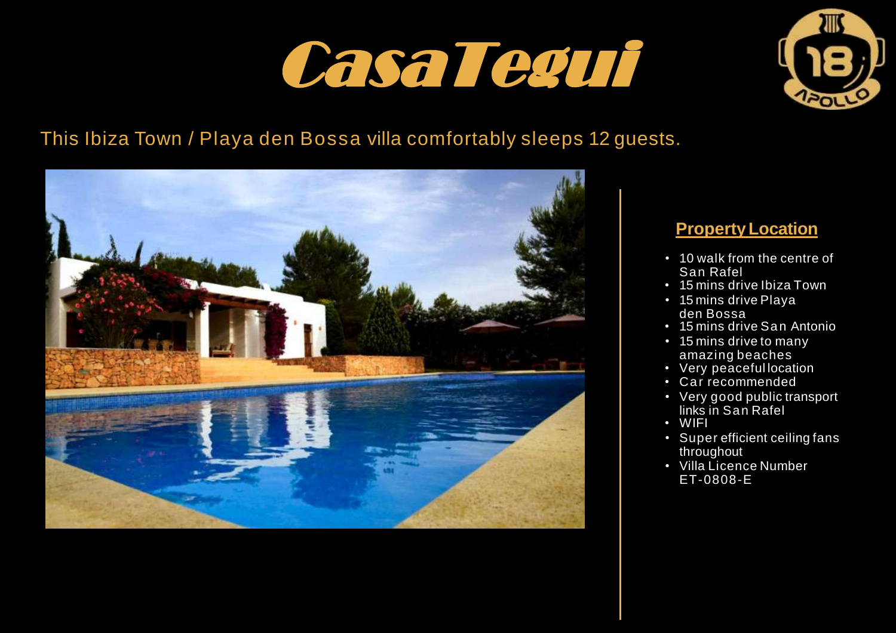



## This Ibiza Town / Playa den Bossa villa comfortably sleeps 12 guests.



### **PropertyLocation**

- 10 walk from the centre of San Rafel
- 15 mins drive Ibiza Town
- 15 mins drive Playa den Bossa
- 15 mins drive San Antonio
- 15 mins drive to many amazing beaches
- Very peaceful location
- Car recommended
- Very good public transport links in San Rafel
- WIFI
- Super efficient ceiling fans throughout
- Villa Licence Number ET-0808-E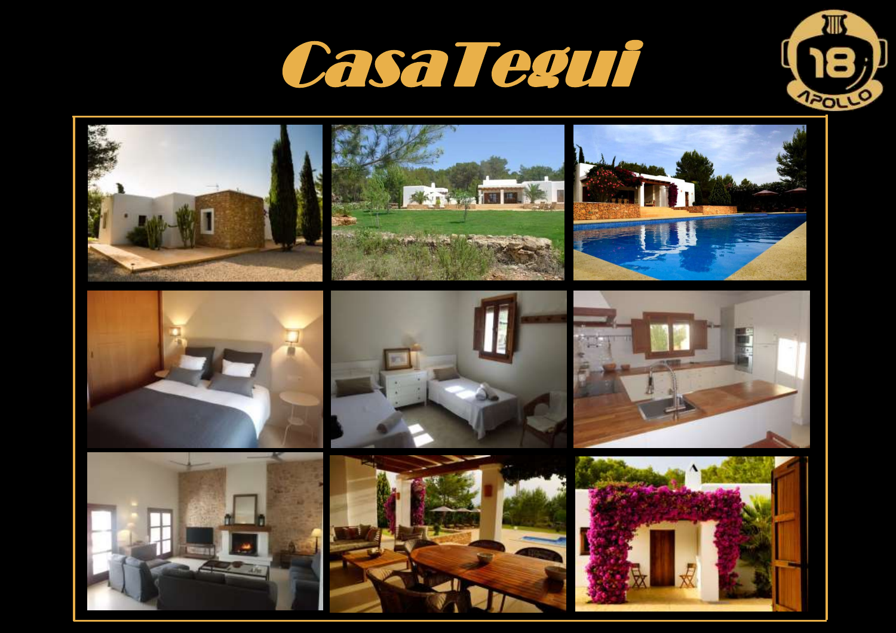# CasaTegui



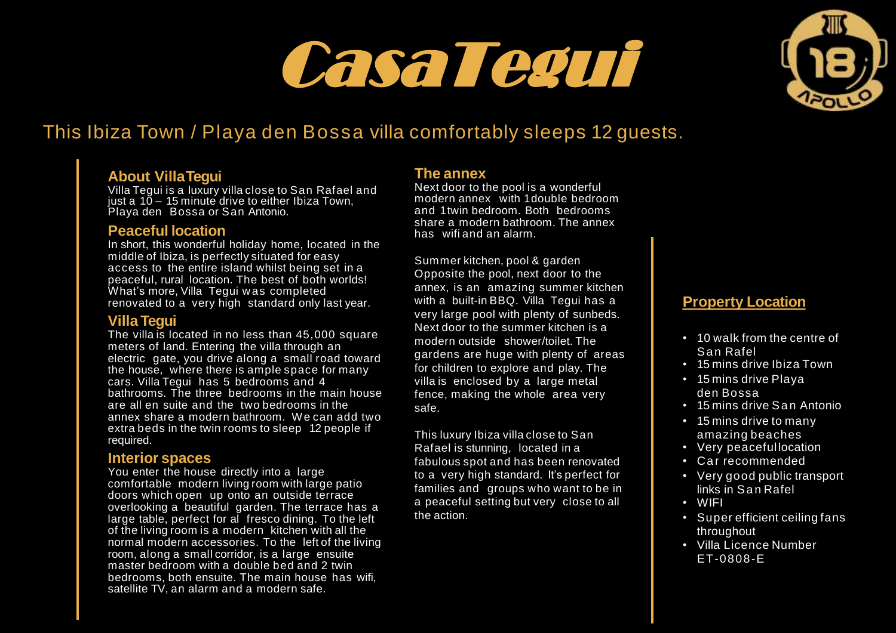# CasaTegui



## This Ibiza Town / Playa den Bossa villa comfortably sleeps 12 guests.

#### **About VillaTegui**

Villa Tegui is a luxury villa close to San Rafael and just a 10 – 15 minute drive to either Ibiza Town, Playa den Bossa or San Antonio.

#### **Peaceful location**

In short, this wonderful holiday home, located in the middle of Ibiza, is perfectly situated for easy access to the entire island whilst being set in a peaceful, rural location. The best of both worlds! What's more, Villa Tequi was completed renovated to a very high standard only last year.

#### **Villa Tegui**

The villa is located in no less than 45,000 square meters of land. Entering the villa through an electric gate, you drive along a small road toward the house, where there is ample space for many cars. Villa Tegui has 5 bedrooms and 4 bathrooms. The three bedrooms in the main house are all en suite and the two bedrooms in the annex share a modern bathroom. W e can add two extra beds in the twin rooms to sleep 12 people if required.

#### **Interior spaces**

You enter the house directly into a large comfortable modern living room with large patio doors which open up onto an outside terrace overlooking a beautiful garden. The terrace has a large table, perfect for al fresco dining. To the left of the living room is a modern kitchen with all the normal modern accessories. To the left of the living room, along a small corridor, is a large ensuite master bedroom with a double bed and 2 twin bedrooms, both ensuite. The main house has wifi, satellite TV, an alarm and a modern safe.

#### **The annex**

Next door to the pool is a wonderful modern annex with 1 double bedroom and 1 twin bedroom. Both bedrooms share a modern bathroom. The annex has wifi and an alarm.

Summer kitchen, pool & garden Opposite the pool, next door to the annex, is an amazing summer kitchen with a built-in BBQ. Villa Tegui has a very large pool with plenty of sunbeds. Next door to the summer kitchen is a modern outside shower/toilet. The gardens are huge with plenty of areas for children to explore and play. The villa is enclosed by a large metal fence, making the whole area very safe.

This luxury Ibiza villa close to San Rafael is stunning, located in a fabulous spot and has been renovated to a very high standard. It's perfect for families and groups who want to be in a peaceful setting but very close to all the action.

#### **Property Location**

- 10 walk from the centre of San Rafel
- 15 mins drive Ibiza Town
- 15 mins drive Playa den Bossa
- 15 mins drive San Antonio
- 15 mins drive to many amazing beaches
- Very peaceful location
- Car recommended
- Very good public transport links in San Rafel
- WIFI
- Super efficient ceiling fans throughout
- Villa Licence Number ET-0808-E